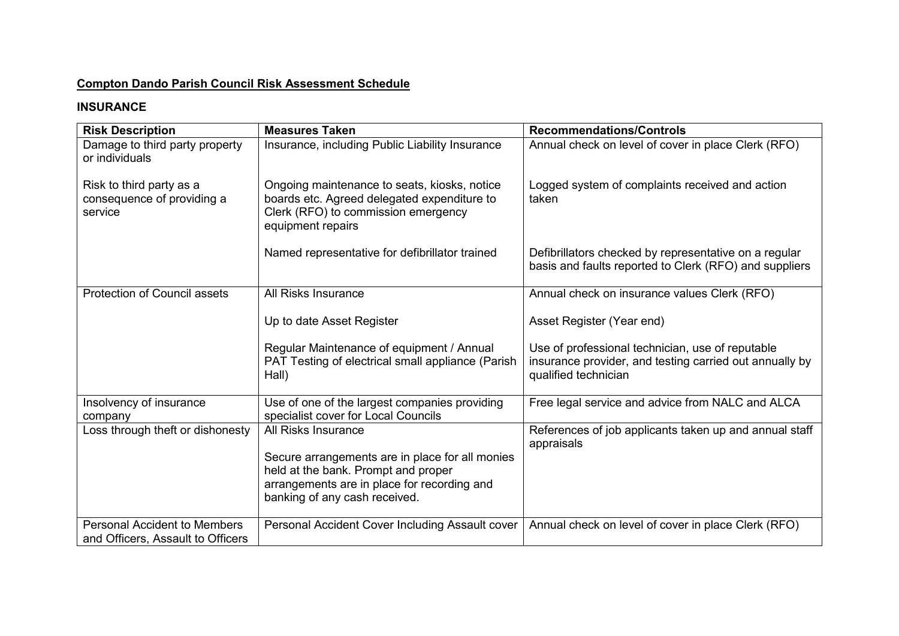# **Compton Dando Parish Council Risk Assessment Schedule**

## **INSURANCE**

| <b>Risk Description</b>                                                  | <b>Measures Taken</b>                                                                                                                                                  | <b>Recommendations/Controls</b>                                                                                                     |
|--------------------------------------------------------------------------|------------------------------------------------------------------------------------------------------------------------------------------------------------------------|-------------------------------------------------------------------------------------------------------------------------------------|
| Damage to third party property<br>or individuals                         | Insurance, including Public Liability Insurance                                                                                                                        | Annual check on level of cover in place Clerk (RFO)                                                                                 |
| Risk to third party as a<br>consequence of providing a<br>service        | Ongoing maintenance to seats, kiosks, notice<br>boards etc. Agreed delegated expenditure to<br>Clerk (RFO) to commission emergency<br>equipment repairs                | Logged system of complaints received and action<br>taken                                                                            |
|                                                                          | Named representative for defibrillator trained                                                                                                                         | Defibrillators checked by representative on a regular<br>basis and faults reported to Clerk (RFO) and suppliers                     |
| <b>Protection of Council assets</b>                                      | All Risks Insurance                                                                                                                                                    | Annual check on insurance values Clerk (RFO)                                                                                        |
|                                                                          | Up to date Asset Register                                                                                                                                              | Asset Register (Year end)                                                                                                           |
|                                                                          | Regular Maintenance of equipment / Annual<br>PAT Testing of electrical small appliance (Parish<br>Hall)                                                                | Use of professional technician, use of reputable<br>insurance provider, and testing carried out annually by<br>qualified technician |
| Insolvency of insurance<br>company                                       | Use of one of the largest companies providing<br>specialist cover for Local Councils                                                                                   | Free legal service and advice from NALC and ALCA                                                                                    |
| Loss through theft or dishonesty                                         | <b>All Risks Insurance</b>                                                                                                                                             | References of job applicants taken up and annual staff<br>appraisals                                                                |
|                                                                          | Secure arrangements are in place for all monies<br>held at the bank. Prompt and proper<br>arrangements are in place for recording and<br>banking of any cash received. |                                                                                                                                     |
| <b>Personal Accident to Members</b><br>and Officers, Assault to Officers | Personal Accident Cover Including Assault cover                                                                                                                        | Annual check on level of cover in place Clerk (RFO)                                                                                 |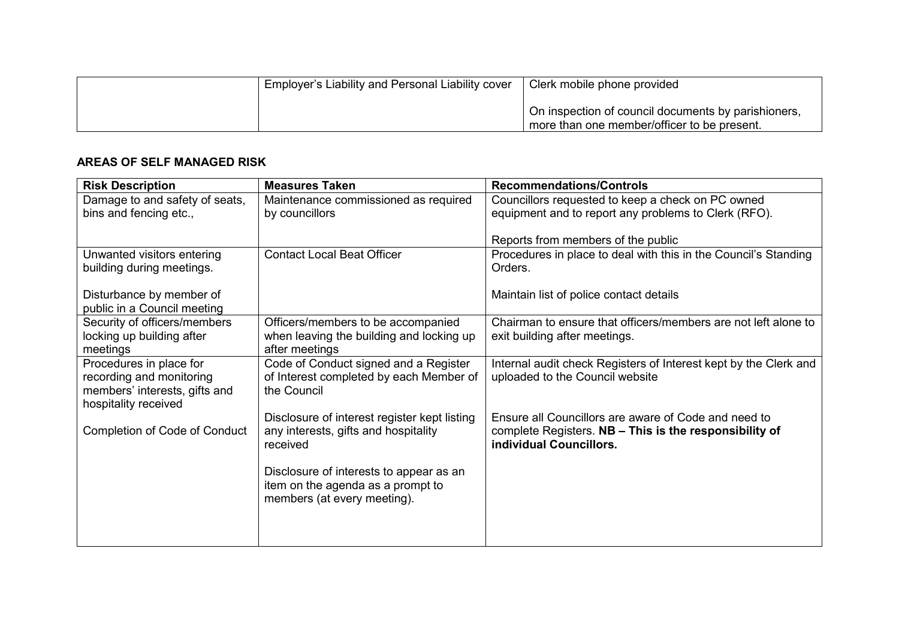| Employer's Liability and Personal Liability cover | Clerk mobile phone provided                                                                        |
|---------------------------------------------------|----------------------------------------------------------------------------------------------------|
|                                                   | On inspection of council documents by parishioners,<br>more than one member/officer to be present. |

#### **AREAS OF SELF MANAGED RISK**

| <b>Risk Description</b>                                 | <b>Measures Taken</b>                        | <b>Recommendations/Controls</b>                                  |
|---------------------------------------------------------|----------------------------------------------|------------------------------------------------------------------|
| Damage to and safety of seats,                          | Maintenance commissioned as required         | Councillors requested to keep a check on PC owned                |
| bins and fencing etc.,                                  | by councillors                               | equipment and to report any problems to Clerk (RFO).             |
|                                                         |                                              |                                                                  |
|                                                         |                                              | Reports from members of the public                               |
| Unwanted visitors entering                              | <b>Contact Local Beat Officer</b>            | Procedures in place to deal with this in the Council's Standing  |
| building during meetings.                               |                                              | Orders.                                                          |
|                                                         |                                              |                                                                  |
| Disturbance by member of<br>public in a Council meeting |                                              | Maintain list of police contact details                          |
| Security of officers/members                            | Officers/members to be accompanied           | Chairman to ensure that officers/members are not left alone to   |
| locking up building after                               | when leaving the building and locking up     | exit building after meetings.                                    |
| meetings                                                | after meetings                               |                                                                  |
| Procedures in place for                                 | Code of Conduct signed and a Register        | Internal audit check Registers of Interest kept by the Clerk and |
| recording and monitoring                                | of Interest completed by each Member of      | uploaded to the Council website                                  |
| members' interests, gifts and                           | the Council                                  |                                                                  |
| hospitality received                                    |                                              |                                                                  |
|                                                         | Disclosure of interest register kept listing | Ensure all Councillors are aware of Code and need to             |
| <b>Completion of Code of Conduct</b>                    | any interests, gifts and hospitality         | complete Registers. NB - This is the responsibility of           |
|                                                         | received                                     | individual Councillors.                                          |
|                                                         | Disclosure of interests to appear as an      |                                                                  |
|                                                         | item on the agenda as a prompt to            |                                                                  |
|                                                         | members (at every meeting).                  |                                                                  |
|                                                         |                                              |                                                                  |
|                                                         |                                              |                                                                  |
|                                                         |                                              |                                                                  |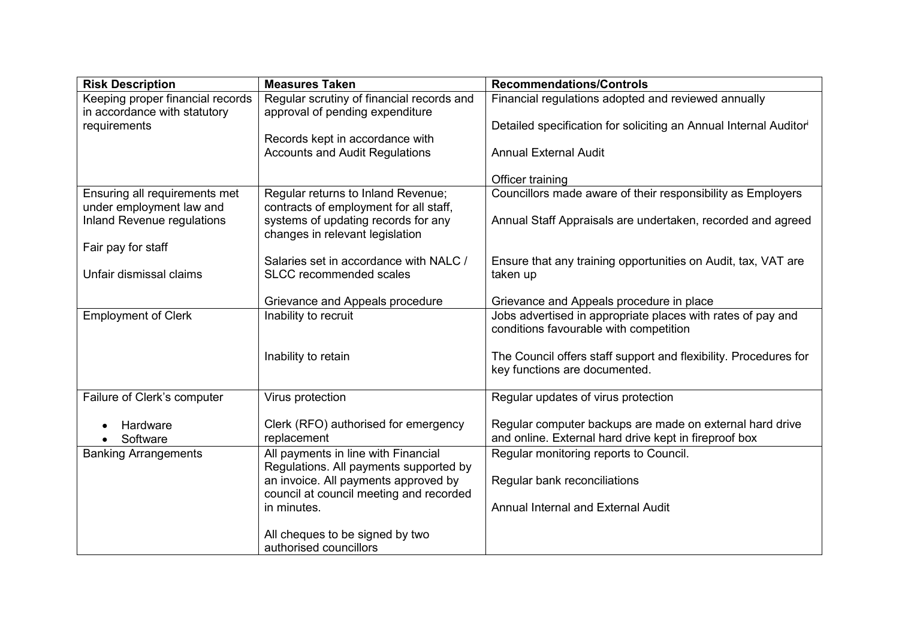| <b>Risk Description</b>          | <b>Measures Taken</b>                                                    | <b>Recommendations/Controls</b>                                               |
|----------------------------------|--------------------------------------------------------------------------|-------------------------------------------------------------------------------|
| Keeping proper financial records | Regular scrutiny of financial records and                                | Financial regulations adopted and reviewed annually                           |
| in accordance with statutory     | approval of pending expenditure                                          |                                                                               |
| requirements                     |                                                                          | Detailed specification for soliciting an Annual Internal Auditor <sup>i</sup> |
|                                  | Records kept in accordance with<br><b>Accounts and Audit Regulations</b> | <b>Annual External Audit</b>                                                  |
|                                  |                                                                          |                                                                               |
|                                  |                                                                          | Officer training                                                              |
| Ensuring all requirements met    | Regular returns to Inland Revenue;                                       | Councillors made aware of their responsibility as Employers                   |
| under employment law and         | contracts of employment for all staff,                                   |                                                                               |
| Inland Revenue regulations       | systems of updating records for any                                      | Annual Staff Appraisals are undertaken, recorded and agreed                   |
|                                  | changes in relevant legislation                                          |                                                                               |
| Fair pay for staff               | Salaries set in accordance with NALC /                                   |                                                                               |
| Unfair dismissal claims          | <b>SLCC</b> recommended scales                                           | Ensure that any training opportunities on Audit, tax, VAT are<br>taken up     |
|                                  |                                                                          |                                                                               |
|                                  | Grievance and Appeals procedure                                          | Grievance and Appeals procedure in place                                      |
| <b>Employment of Clerk</b>       | Inability to recruit                                                     | Jobs advertised in appropriate places with rates of pay and                   |
|                                  |                                                                          | conditions favourable with competition                                        |
|                                  |                                                                          |                                                                               |
|                                  | Inability to retain                                                      | The Council offers staff support and flexibility. Procedures for              |
|                                  |                                                                          | key functions are documented.                                                 |
| Failure of Clerk's computer      | Virus protection                                                         | Regular updates of virus protection                                           |
|                                  |                                                                          |                                                                               |
| Hardware                         | Clerk (RFO) authorised for emergency                                     | Regular computer backups are made on external hard drive                      |
| Software                         | replacement                                                              | and online. External hard drive kept in fireproof box                         |
| <b>Banking Arrangements</b>      | All payments in line with Financial                                      | Regular monitoring reports to Council.                                        |
|                                  | Regulations. All payments supported by                                   |                                                                               |
|                                  | an invoice. All payments approved by                                     | Regular bank reconciliations                                                  |
|                                  | council at council meeting and recorded<br>in minutes.                   | <b>Annual Internal and External Audit</b>                                     |
|                                  |                                                                          |                                                                               |
|                                  | All cheques to be signed by two                                          |                                                                               |
|                                  | authorised councillors                                                   |                                                                               |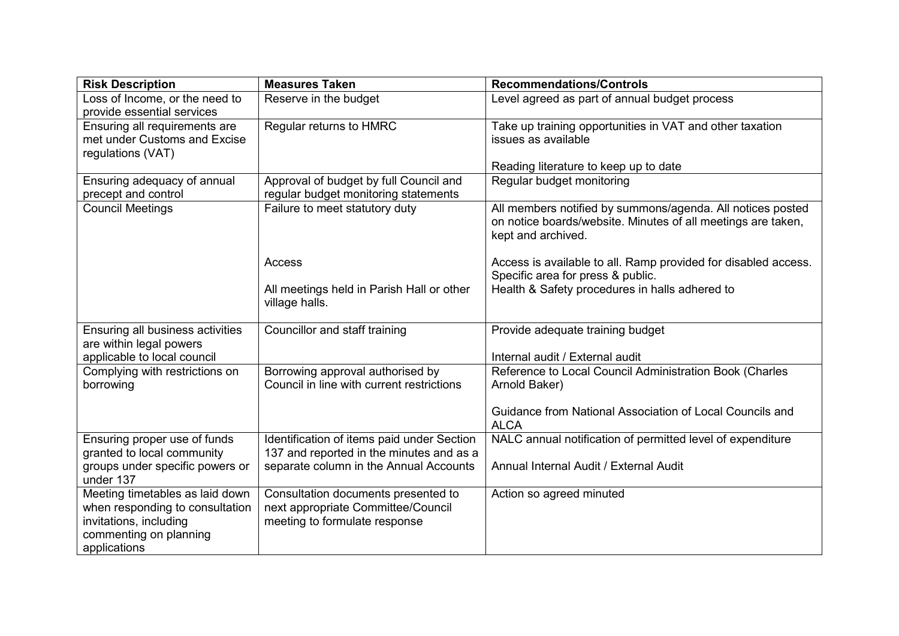| <b>Risk Description</b>                                                                                                                | <b>Measures Taken</b>                                                                                      | <b>Recommendations/Controls</b>                                                                                                                  |
|----------------------------------------------------------------------------------------------------------------------------------------|------------------------------------------------------------------------------------------------------------|--------------------------------------------------------------------------------------------------------------------------------------------------|
| Loss of Income, or the need to<br>provide essential services                                                                           | Reserve in the budget                                                                                      | Level agreed as part of annual budget process                                                                                                    |
| Ensuring all requirements are<br>met under Customs and Excise<br>regulations (VAT)                                                     | Regular returns to HMRC                                                                                    | Take up training opportunities in VAT and other taxation<br>issues as available                                                                  |
|                                                                                                                                        |                                                                                                            | Reading literature to keep up to date                                                                                                            |
| Ensuring adequacy of annual<br>precept and control                                                                                     | Approval of budget by full Council and<br>regular budget monitoring statements                             | Regular budget monitoring                                                                                                                        |
| <b>Council Meetings</b>                                                                                                                | Failure to meet statutory duty                                                                             | All members notified by summons/agenda. All notices posted<br>on notice boards/website. Minutes of all meetings are taken,<br>kept and archived. |
|                                                                                                                                        | Access                                                                                                     | Access is available to all. Ramp provided for disabled access.<br>Specific area for press & public.                                              |
|                                                                                                                                        | All meetings held in Parish Hall or other<br>village halls.                                                | Health & Safety procedures in halls adhered to                                                                                                   |
| Ensuring all business activities<br>are within legal powers<br>applicable to local council                                             | Councillor and staff training                                                                              | Provide adequate training budget<br>Internal audit / External audit                                                                              |
| Complying with restrictions on<br>borrowing                                                                                            | Borrowing approval authorised by<br>Council in line with current restrictions                              | Reference to Local Council Administration Book (Charles<br>Arnold Baker)                                                                         |
|                                                                                                                                        |                                                                                                            | Guidance from National Association of Local Councils and<br><b>ALCA</b>                                                                          |
| Ensuring proper use of funds<br>granted to local community                                                                             | Identification of items paid under Section<br>137 and reported in the minutes and as a                     | NALC annual notification of permitted level of expenditure                                                                                       |
| groups under specific powers or<br>under 137                                                                                           | separate column in the Annual Accounts                                                                     | Annual Internal Audit / External Audit                                                                                                           |
| Meeting timetables as laid down<br>when responding to consultation<br>invitations, including<br>commenting on planning<br>applications | Consultation documents presented to<br>next appropriate Committee/Council<br>meeting to formulate response | Action so agreed minuted                                                                                                                         |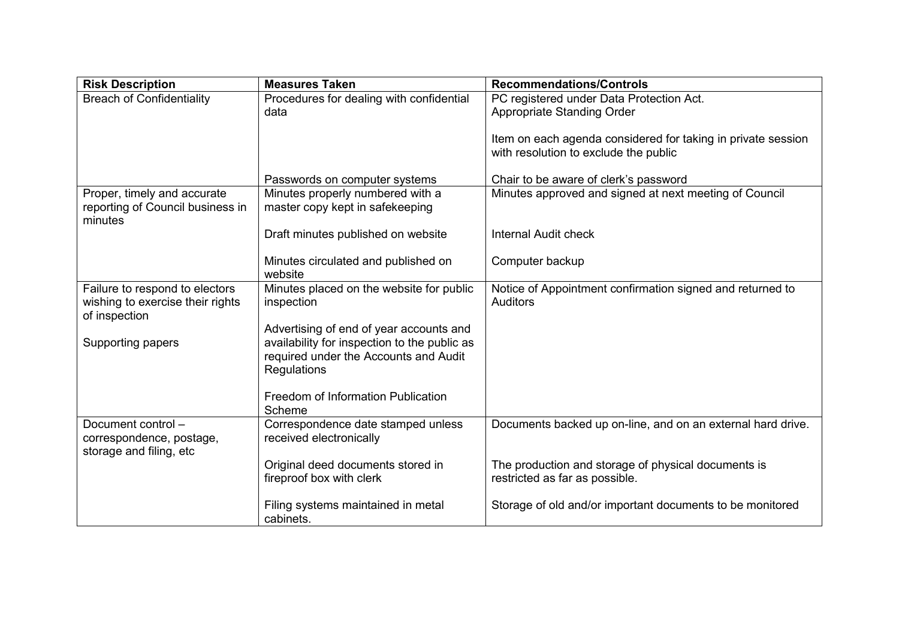| <b>Risk Description</b>                     | <b>Measures Taken</b>                                                                   | <b>Recommendations/Controls</b>                              |
|---------------------------------------------|-----------------------------------------------------------------------------------------|--------------------------------------------------------------|
| <b>Breach of Confidentiality</b>            | Procedures for dealing with confidential                                                | PC registered under Data Protection Act.                     |
|                                             | data                                                                                    | Appropriate Standing Order                                   |
|                                             |                                                                                         |                                                              |
|                                             |                                                                                         | Item on each agenda considered for taking in private session |
|                                             |                                                                                         | with resolution to exclude the public                        |
|                                             | Passwords on computer systems                                                           | Chair to be aware of clerk's password                        |
| Proper, timely and accurate                 | Minutes properly numbered with a                                                        | Minutes approved and signed at next meeting of Council       |
| reporting of Council business in<br>minutes | master copy kept in safekeeping                                                         |                                                              |
|                                             | Draft minutes published on website                                                      | <b>Internal Audit check</b>                                  |
|                                             | Minutes circulated and published on                                                     | Computer backup                                              |
|                                             | website                                                                                 |                                                              |
| Failure to respond to electors              | Minutes placed on the website for public                                                | Notice of Appointment confirmation signed and returned to    |
| wishing to exercise their rights            | inspection                                                                              | <b>Auditors</b>                                              |
| of inspection                               |                                                                                         |                                                              |
|                                             | Advertising of end of year accounts and<br>availability for inspection to the public as |                                                              |
| Supporting papers                           | required under the Accounts and Audit                                                   |                                                              |
|                                             | Regulations                                                                             |                                                              |
|                                             |                                                                                         |                                                              |
|                                             | Freedom of Information Publication                                                      |                                                              |
|                                             | Scheme                                                                                  |                                                              |
| Document control-                           | Correspondence date stamped unless                                                      | Documents backed up on-line, and on an external hard drive.  |
| correspondence, postage,                    | received electronically                                                                 |                                                              |
| storage and filing, etc                     |                                                                                         |                                                              |
|                                             | Original deed documents stored in                                                       | The production and storage of physical documents is          |
|                                             | fireproof box with clerk                                                                | restricted as far as possible.                               |
|                                             | Filing systems maintained in metal                                                      | Storage of old and/or important documents to be monitored    |
|                                             | cabinets.                                                                               |                                                              |